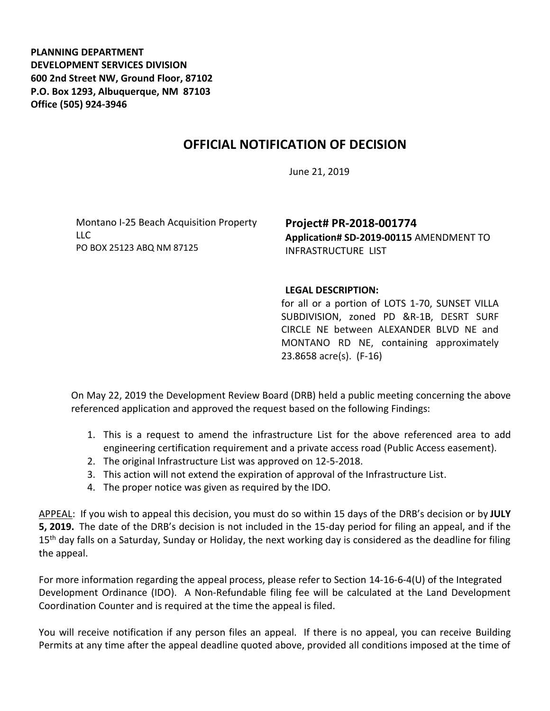**PLANNING DEPARTMENT DEVELOPMENT SERVICES DIVISION 600 2nd Street NW, Ground Floor, 87102 P.O. Box 1293, Albuquerque, NM 87103 Office (505) 924-3946** 

## **OFFICIAL NOTIFICATION OF DECISION**

June 21, 2019

Montano I-25 Beach Acquisition Property LLC PO BOX 25123 ABQ NM 87125

## **Project# PR-2018-001774 Application# SD-2019-00115** AMENDMENT TO INFRASTRUCTURE LIST

## **LEGAL DESCRIPTION:**

for all or a portion of LOTS 1-70, SUNSET VILLA SUBDIVISION, zoned PD &R-1B, DESRT SURF CIRCLE NE between ALEXANDER BLVD NE and MONTANO RD NE, containing approximately 23.8658 acre(s). (F-16)

On May 22, 2019 the Development Review Board (DRB) held a public meeting concerning the above referenced application and approved the request based on the following Findings:

- 1. This is a request to amend the infrastructure List for the above referenced area to add engineering certification requirement and a private access road (Public Access easement).
- 2. The original Infrastructure List was approved on 12-5-2018.
- 3. This action will not extend the expiration of approval of the Infrastructure List.
- 4. The proper notice was given as required by the IDO.

APPEAL: If you wish to appeal this decision, you must do so within 15 days of the DRB's decision or by **JULY 5, 2019.** The date of the DRB's decision is not included in the 15-day period for filing an appeal, and if the 15<sup>th</sup> day falls on a Saturday, Sunday or Holiday, the next working day is considered as the deadline for filing the appeal.

For more information regarding the appeal process, please refer to Section 14-16-6-4(U) of the Integrated Development Ordinance (IDO). A Non-Refundable filing fee will be calculated at the Land Development Coordination Counter and is required at the time the appeal is filed.

You will receive notification if any person files an appeal. If there is no appeal, you can receive Building Permits at any time after the appeal deadline quoted above, provided all conditions imposed at the time of